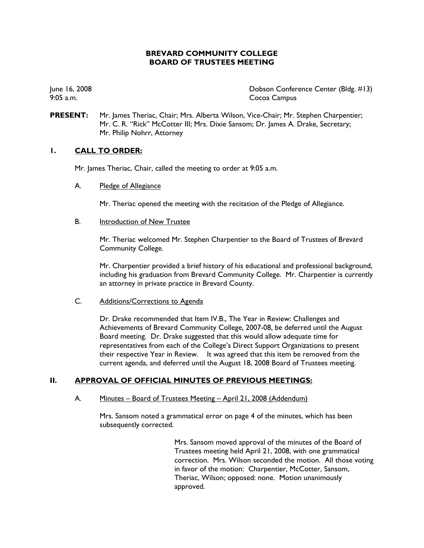# **BREVARD COMMUNITY COLLEGE BOARD OF TRUSTEES MEETING**

June 16, 2008 Dobson Conference Center (Bldg. #13) 9:05 a.m. Cocoa Campus

**PRESENT:** Mr. James Theriac, Chair; Mrs. Alberta Wilson, Vice-Chair; Mr. Stephen Charpentier; Mr. C. R. "Rick" McCotter III; Mrs. Dixie Sansom; Dr. James A. Drake, Secretary; Mr. Philip Nohrr, Attorney

# **1. CALL TO ORDER:**

Mr. James Theriac, Chair, called the meeting to order at 9:05 a.m.

#### A. Pledge of Allegiance

Mr. Theriac opened the meeting with the recitation of the Pledge of Allegiance.

#### B. Introduction of New Trustee

Mr. Theriac welcomed Mr. Stephen Charpentier to the Board of Trustees of Brevard Community College.

Mr. Charpentier provided a brief history of his educational and professional background, including his graduation from Brevard Community College. Mr. Charpentier is currently an attorney in private practice in Brevard County.

### C. Additions/Corrections to Agenda

Dr. Drake recommended that Item IV.B., The Year in Review: Challenges and Achievements of Brevard Community College, 2007-08, be deferred until the August Board meeting. Dr. Drake suggested that this would allow adequate time for representatives from each of the College's Direct Support Organizations to present their respective Year in Review. It was agreed that this item be removed from the current agenda, and deferred until the August 18, 2008 Board of Trustees meeting.

# **II. APPROVAL OF OFFICIAL MINUTES OF PREVIOUS MEETINGS:**

### A. Minutes – Board of Trustees Meeting – April 21, 2008 (Addendum)

Mrs. Sansom noted a grammatical error on page 4 of the minutes, which has been subsequently corrected.

> Mrs. Sansom moved approval of the minutes of the Board of Trustees meeting held April 21, 2008, with one grammatical correction. Mrs. Wilson seconded the motion. All those voting in favor of the motion: Charpentier, McCotter, Sansom, Theriac, Wilson; opposed: none. Motion unanimously approved.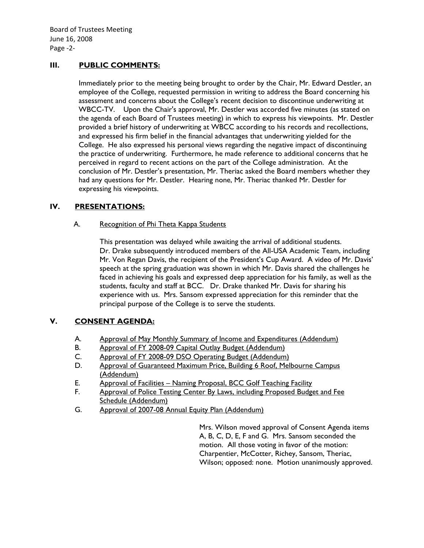# **III. PUBLIC COMMENTS:**

Immediately prior to the meeting being brought to order by the Chair, Mr. Edward Destler, an employee of the College, requested permission in writing to address the Board concerning his assessment and concerns about the College's recent decision to discontinue underwriting at WBCC-TV. Upon the Chair's approval, Mr. Destler was accorded five minutes (as stated on the agenda of each Board of Trustees meeting) in which to express his viewpoints. Mr. Destler provided a brief history of underwriting at WBCC according to his records and recollections, and expressed his firm belief in the financial advantages that underwriting yielded for the College. He also expressed his personal views regarding the negative impact of discontinuing the practice of underwriting. Furthermore, he made reference to additional concerns that he perceived in regard to recent actions on the part of the College administration. At the conclusion of Mr. Destler's presentation, Mr. Theriac asked the Board members whether they had any questions for Mr. Destler. Hearing none, Mr. Theriac thanked Mr. Destler for expressing his viewpoints.

# **IV. PRESENTATIONS:**

# A. Recognition of Phi Theta Kappa Students

This presentation was delayed while awaiting the arrival of additional students. Dr. Drake subsequently introduced members of the All-USA Academic Team, including Mr. Von Regan Davis, the recipient of the President's Cup Award. A video of Mr. Davis' speech at the spring graduation was shown in which Mr. Davis shared the challenges he faced in achieving his goals and expressed deep appreciation for his family, as well as the students, faculty and staff at BCC. Dr. Drake thanked Mr. Davis for sharing his experience with us. Mrs. Sansom expressed appreciation for this reminder that the principal purpose of the College is to serve the students.

# **V. CONSENT AGENDA:**

- A. Approval of May Monthly Summary of Income and Expenditures (Addendum)
- B. Approval of FY 2008-09 Capital Outlay Budget (Addendum)
- C. Approval of FY 2008-09 DSO Operating Budget (Addendum)
- D. Approval of Guaranteed Maximum Price, Building 6 Roof, Melbourne Campus (Addendum)
- E. Approval of Facilities Naming Proposal, BCC Golf Teaching Facility
- F. Approval of Police Testing Center By Laws, including Proposed Budget and Fee Schedule (Addendum)
- G. Approval of 2007-08 Annual Equity Plan (Addendum)

Mrs. Wilson moved approval of Consent Agenda items A, B, C, D, E, F and G. Mrs. Sansom seconded the motion. All those voting in favor of the motion: Charpentier, McCotter, Richey, Sansom, Theriac, Wilson; opposed: none. Motion unanimously approved.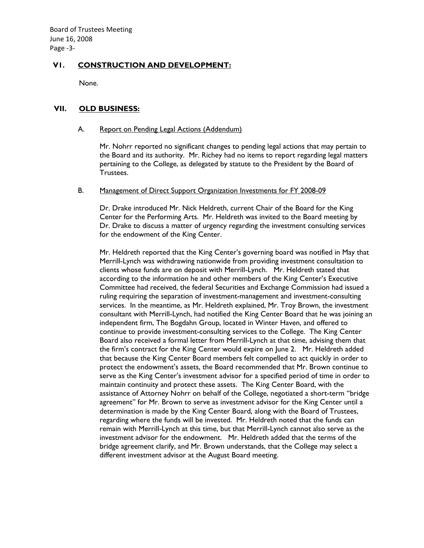Board of Trustees Meeting June 16, 2008 Page ‐3‐

# **V1. CONSTRUCTION AND DEVELOPMENT:**

None.

### **VII. OLD BUSINESS:**

#### A. Report on Pending Legal Actions (Addendum)

Mr. Nohrr reported no significant changes to pending legal actions that may pertain to the Board and its authority. Mr. Richey had no items to report regarding legal matters pertaining to the College, as delegated by statute to the President by the Board of Trustees.

#### B. Management of Direct Support Organization Investments for FY 2008-09

Dr. Drake introduced Mr. Nick Heldreth, current Chair of the Board for the King Center for the Performing Arts. Mr. Heldreth was invited to the Board meeting by Dr. Drake to discuss a matter of urgency regarding the investment consulting services for the endowment of the King Center.

Mr. Heldreth reported that the King Center's governing board was notified in May that Merrill-Lynch was withdrawing nationwide from providing investment consultation to clients whose funds are on deposit with Merrill-Lynch. Mr. Heldreth stated that according to the information he and other members of the King Center's Executive Committee had received, the federal Securities and Exchange Commission had issued a ruling requiring the separation of investment-management and investment-consulting services. In the meantime, as Mr. Heldreth explained, Mr. Troy Brown, the investment consultant with Merrill-Lynch, had notified the King Center Board that he was joining an independent firm, The Bogdahn Group, located in Winter Haven, and offered to continue to provide investment-consulting services to the College. The King Center Board also received a formal letter from Merrill-Lynch at that time, advising them that the firm's contract for the King Center would expire on June 2. Mr. Heldreth added that because the King Center Board members felt compelled to act quickly in order to protect the endowment's assets, the Board recommended that Mr. Brown continue to serve as the King Center's investment advisor for a specified period of time in order to maintain continuity and protect these assets. The King Center Board, with the assistance of Attorney Nohrr on behalf of the College, negotiated a short-term "bridge agreement" for Mr. Brown to serve as investment advisor for the King Center until a determination is made by the King Center Board, along with the Board of Trustees, regarding where the funds will be invested. Mr. Heldreth noted that the funds can remain with Merrill-Lynch at this time, but that Merrill-Lynch cannot also serve as the investment advisor for the endowment. Mr. Heldreth added that the terms of the bridge agreement clarify, and Mr. Brown understands, that the College may select a different investment advisor at the August Board meeting.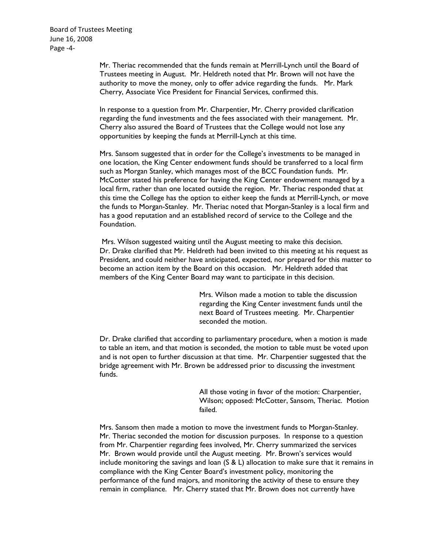Board of Trustees Meeting June 16, 2008 Page ‐4‐

> Mr. Theriac recommended that the funds remain at Merrill-Lynch until the Board of Trustees meeting in August. Mr. Heldreth noted that Mr. Brown will not have the authority to move the money, only to offer advice regarding the funds. Mr. Mark Cherry, Associate Vice President for Financial Services, confirmed this.

> In response to a question from Mr. Charpentier, Mr. Cherry provided clarification regarding the fund investments and the fees associated with their management. Mr. Cherry also assured the Board of Trustees that the College would not lose any opportunities by keeping the funds at Merrill-Lynch at this time.

Mrs. Sansom suggested that in order for the College's investments to be managed in one location, the King Center endowment funds should be transferred to a local firm such as Morgan Stanley, which manages most of the BCC Foundation funds. Mr. McCotter stated his preference for having the King Center endowment managed by a local firm, rather than one located outside the region. Mr. Theriac responded that at this time the College has the option to either keep the funds at Merrill-Lynch, or move the funds to Morgan-Stanley. Mr. Theriac noted that Morgan-Stanley is a local firm and has a good reputation and an established record of service to the College and the Foundation.

 Mrs. Wilson suggested waiting until the August meeting to make this decision. Dr. Drake clarified that Mr. Heldreth had been invited to this meeting at his request as President, and could neither have anticipated, expected, nor prepared for this matter to become an action item by the Board on this occasion. Mr. Heldreth added that members of the King Center Board may want to participate in this decision.

> Mrs. Wilson made a motion to table the discussion regarding the King Center investment funds until the next Board of Trustees meeting. Mr. Charpentier seconded the motion.

Dr. Drake clarified that according to parliamentary procedure, when a motion is made to table an item, and that motion is seconded, the motion to table must be voted upon and is not open to further discussion at that time. Mr. Charpentier suggested that the bridge agreement with Mr. Brown be addressed prior to discussing the investment funds.

> All those voting in favor of the motion: Charpentier, Wilson; opposed: McCotter, Sansom, Theriac. Motion failed.

Mrs. Sansom then made a motion to move the investment funds to Morgan-Stanley. Mr. Theriac seconded the motion for discussion purposes. In response to a question from Mr. Charpentier regarding fees involved, Mr. Cherry summarized the services Mr. Brown would provide until the August meeting. Mr. Brown's services would include monitoring the savings and loan  $(S & L)$  allocation to make sure that it remains in compliance with the King Center Board's investment policy, monitoring the performance of the fund majors, and monitoring the activity of these to ensure they remain in compliance. Mr. Cherry stated that Mr. Brown does not currently have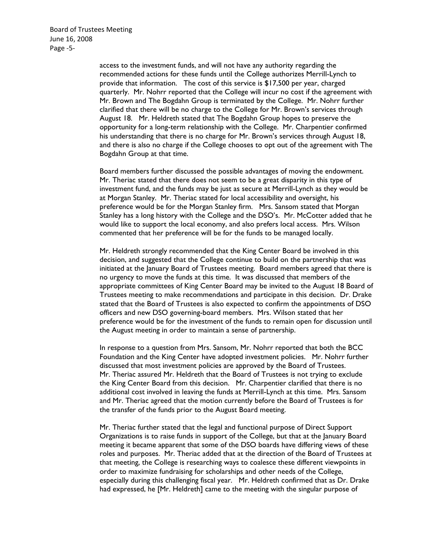Board of Trustees Meeting June 16, 2008 Page ‐5‐

> access to the investment funds, and will not have any authority regarding the recommended actions for these funds until the College authorizes Merrill-Lynch to provide that information. The cost of this service is \$17,500 per year, charged quarterly. Mr. Nohrr reported that the College will incur no cost if the agreement with Mr. Brown and The Bogdahn Group is terminated by the College. Mr. Nohrr further clarified that there will be no charge to the College for Mr. Brown's services through August 18. Mr. Heldreth stated that The Bogdahn Group hopes to preserve the opportunity for a long-term relationship with the College. Mr. Charpentier confirmed his understanding that there is no charge for Mr. Brown's services through August 18, and there is also no charge if the College chooses to opt out of the agreement with The Bogdahn Group at that time.

> Board members further discussed the possible advantages of moving the endowment. Mr. Theriac stated that there does not seem to be a great disparity in this type of investment fund, and the funds may be just as secure at Merrill-Lynch as they would be at Morgan Stanley. Mr. Theriac stated for local accessibility and oversight, his preference would be for the Morgan Stanley firm. Mrs. Sansom stated that Morgan Stanley has a long history with the College and the DSO's. Mr. McCotter added that he would like to support the local economy, and also prefers local access. Mrs. Wilson commented that her preference will be for the funds to be managed locally.

> Mr. Heldreth strongly recommended that the King Center Board be involved in this decision, and suggested that the College continue to build on the partnership that was initiated at the January Board of Trustees meeting. Board members agreed that there is no urgency to move the funds at this time. It was discussed that members of the appropriate committees of King Center Board may be invited to the August 18 Board of Trustees meeting to make recommendations and participate in this decision. Dr. Drake stated that the Board of Trustees is also expected to confirm the appointments of DSO officers and new DSO governing-board members. Mrs. Wilson stated that her preference would be for the investment of the funds to remain open for discussion until the August meeting in order to maintain a sense of partnership.

In response to a question from Mrs. Sansom, Mr. Nohrr reported that both the BCC Foundation and the King Center have adopted investment policies. Mr. Nohrr further discussed that most investment policies are approved by the Board of Trustees. Mr. Theriac assured Mr. Heldreth that the Board of Trustees is not trying to exclude the King Center Board from this decision. Mr. Charpentier clarified that there is no additional cost involved in leaving the funds at Merrill-Lynch at this time. Mrs. Sansom and Mr. Theriac agreed that the motion currently before the Board of Trustees is for the transfer of the funds prior to the August Board meeting.

Mr. Theriac further stated that the legal and functional purpose of Direct Support Organizations is to raise funds in support of the College, but that at the January Board meeting it became apparent that some of the DSO boards have differing views of these roles and purposes. Mr. Theriac added that at the direction of the Board of Trustees at that meeting, the College is researching ways to coalesce these different viewpoints in order to maximize fundraising for scholarships and other needs of the College, especially during this challenging fiscal year. Mr. Heldreth confirmed that as Dr. Drake had expressed, he [Mr. Heldreth] came to the meeting with the singular purpose of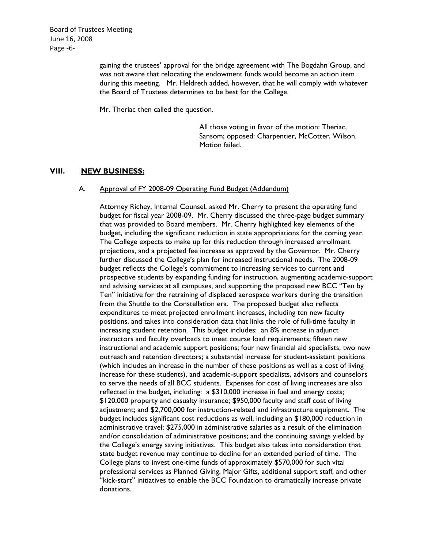Board of Trustees Meeting June 16, 2008 Page ‐6‐

> gaining the trustees' approval for the bridge agreement with The Bogdahn Group, and was not aware that relocating the endowment funds would become an action item during this meeting. Mr. Heldreth added, however, that he will comply with whatever the Board of Trustees determines to be best for the College.

Mr. Theriac then called the question.

All those voting in favor of the motion: Theriac, Sansom; opposed: Charpentier, McCotter, Wilson. Motion failed.

# **VIII. NEW BUSINESS:**

#### A. Approval of FY 2008-09 Operating Fund Budget (Addendum)

Attorney Richey, Internal Counsel, asked Mr. Cherry to present the operating fund budget for fiscal year 2008-09. Mr. Cherry discussed the three-page budget summary that was provided to Board members. Mr. Cherry highlighted key elements of the budget, including the significant reduction in state appropriations for the coming year. The College expects to make up for this reduction through increased enrollment projections, and a projected fee increase as approved by the Governor. Mr. Cherry further discussed the College's plan for increased instructional needs. The 2008-09 budget reflects the College's commitment to increasing services to current and prospective students by expanding funding for instruction, augmenting academic-support and advising services at all campuses, and supporting the proposed new BCC "Ten by Ten" initiative for the retraining of displaced aerospace workers during the transition from the Shuttle to the Constellation era. The proposed budget also reflects expenditures to meet projected enrollment increases, including ten new faculty positions, and takes into consideration data that links the role of full-time faculty in increasing student retention. This budget includes: an 8% increase in adjunct instructors and faculty overloads to meet course load requirements; fifteen new instructional and academic support positions; four new financial aid specialists; two new outreach and retention directors; a substantial increase for student-assistant positions (which includes an increase in the number of these positions as well as a cost of living increase for these students), and academic-support specialists, advisors and counselors to serve the needs of all BCC students. Expenses for cost of living increases are also reflected in the budget, including: a \$310,000 increase in fuel and energy costs; \$120,000 property and casualty insurance; \$950,000 faculty and staff cost of living adjustment; and \$2,700,000 for instruction-related and infrastructure equipment. The budget includes significant cost reductions as well, including an \$180,000 reduction in administrative travel; \$275,000 in administrative salaries as a result of the elimination and/or consolidation of administrative positions; and the continuing savings yielded by the College's energy saving initiatives. This budget also takes into consideration that state budget revenue may continue to decline for an extended period of time. The College plans to invest one-time funds of approximately \$570,000 for such vital professional services as Planned Giving, Major Gifts, additional support staff, and other "kick-start" initiatives to enable the BCC Foundation to dramatically increase private donations.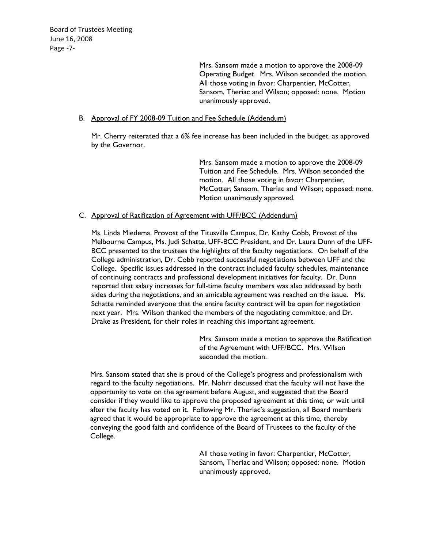Mrs. Sansom made a motion to approve the 2008-09 Operating Budget. Mrs. Wilson seconded the motion. All those voting in favor: Charpentier, McCotter, Sansom, Theriac and Wilson; opposed: none. Motion unanimously approved.

### B. Approval of FY 2008-09 Tuition and Fee Schedule (Addendum)

Mr. Cherry reiterated that a 6% fee increase has been included in the budget, as approved by the Governor.

> Mrs. Sansom made a motion to approve the 2008-09 Tuition and Fee Schedule. Mrs. Wilson seconded the motion. All those voting in favor: Charpentier, McCotter, Sansom, Theriac and Wilson; opposed: none. Motion unanimously approved.

### C. Approval of Ratification of Agreement with UFF/BCC (Addendum)

Ms. Linda Miedema, Provost of the Titusville Campus, Dr. Kathy Cobb, Provost of the Melbourne Campus, Ms. Judi Schatte, UFF-BCC President, and Dr. Laura Dunn of the UFF-BCC presented to the trustees the highlights of the faculty negotiations. On behalf of the College administration, Dr. Cobb reported successful negotiations between UFF and the College. Specific issues addressed in the contract included faculty schedules, maintenance of continuing contracts and professional development initiatives for faculty. Dr. Dunn reported that salary increases for full-time faculty members was also addressed by both sides during the negotiations, and an amicable agreement was reached on the issue. Ms. Schatte reminded everyone that the entire faculty contract will be open for negotiation next year. Mrs. Wilson thanked the members of the negotiating committee, and Dr. Drake as President, for their roles in reaching this important agreement.

> Mrs. Sansom made a motion to approve the Ratification of the Agreement with UFF/BCC. Mrs. Wilson seconded the motion.

Mrs. Sansom stated that she is proud of the College's progress and professionalism with regard to the faculty negotiations. Mr. Nohrr discussed that the faculty will not have the opportunity to vote on the agreement before August, and suggested that the Board consider if they would like to approve the proposed agreement at this time, or wait until after the faculty has voted on it. Following Mr. Theriac's suggestion, all Board members agreed that it would be appropriate to approve the agreement at this time, thereby conveying the good faith and confidence of the Board of Trustees to the faculty of the College.

> All those voting in favor: Charpentier, McCotter, Sansom, Theriac and Wilson; opposed: none. Motion unanimously approved.